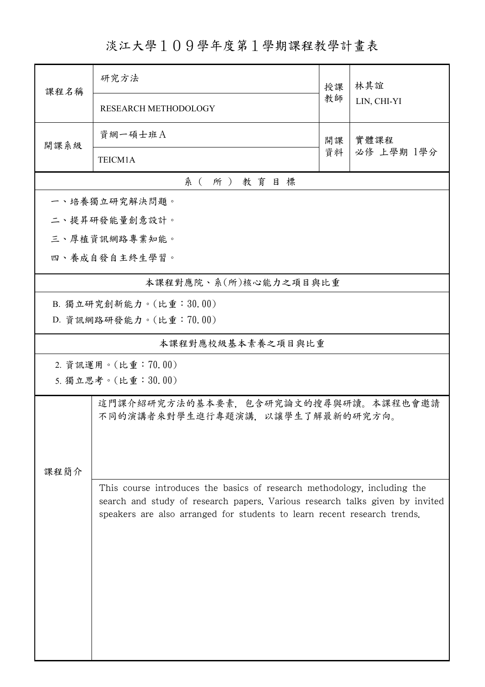## 淡江大學109學年度第1學期課程教學計畫表

| 課程名稱          | 研究方法                                                                         | 授課 | 林其誼<br>LIN, CHI-YI |  |  |
|---------------|------------------------------------------------------------------------------|----|--------------------|--|--|
|               | RESEARCH METHODOLOGY                                                         | 教師 |                    |  |  |
| 開課系級          | 資網一碩士班A                                                                      | 開課 | 實體課程               |  |  |
|               | TEICM1A                                                                      | 資料 | 必修 上學期 1學分         |  |  |
|               | 系(所)教育目標                                                                     |    |                    |  |  |
|               | 一、培養獨立研究解決問題。                                                                |    |                    |  |  |
| 二、提昇研發能量創意設計。 |                                                                              |    |                    |  |  |
| 三、厚植資訊網路專業知能。 |                                                                              |    |                    |  |  |
|               | 四、養成自發自主終生學習。                                                                |    |                    |  |  |
|               | 本課程對應院、系(所)核心能力之項目與比重                                                        |    |                    |  |  |
|               | B. 獨立研究創新能力。(比重:30.00)                                                       |    |                    |  |  |
|               | D. 資訊網路研發能力。(比重:70.00)                                                       |    |                    |  |  |
|               | 本課程對應校級基本素養之項目與比重                                                            |    |                    |  |  |
|               | 2. 資訊運用。(比重:70.00)                                                           |    |                    |  |  |
|               | 5. 獨立思考。(比重:30.00)                                                           |    |                    |  |  |
|               | 這門課介紹研究方法的基本要素,包含研究論文的搜尋與研讀。本課程也會邀請                                          |    |                    |  |  |
|               | 不同的演講者來對學生進行專題演講,以讓學生了解最新的研究方向。                                              |    |                    |  |  |
|               |                                                                              |    |                    |  |  |
| 課程簡介          |                                                                              |    |                    |  |  |
|               | This course introduces the basics of research methodology, including the     |    |                    |  |  |
|               | search and study of research papers. Various research talks given by invited |    |                    |  |  |
|               | speakers are also arranged for students to learn recent research trends.     |    |                    |  |  |
|               |                                                                              |    |                    |  |  |
|               |                                                                              |    |                    |  |  |
|               |                                                                              |    |                    |  |  |
|               |                                                                              |    |                    |  |  |
|               |                                                                              |    |                    |  |  |
|               |                                                                              |    |                    |  |  |
|               |                                                                              |    |                    |  |  |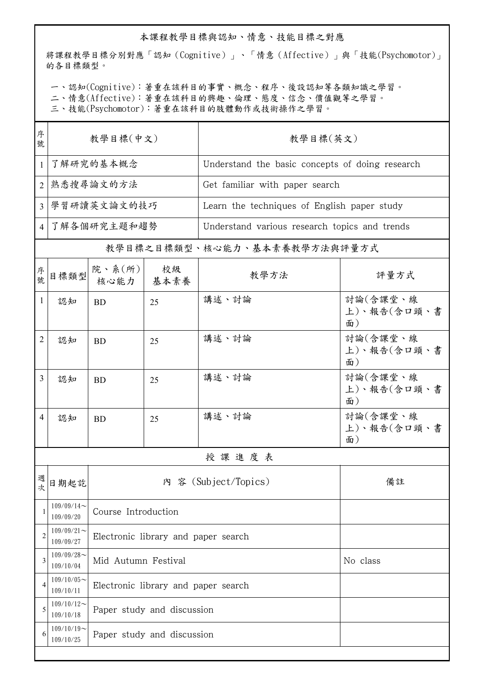## 本課程教學目標與認知、情意、技能目標之對應

將課程教學目標分別對應「認知(Cognitive)」、「情意(Affective)」與「技能(Psychomotor)」 的各目標類型。

一、認知(Cognitive):著重在該科目的事實、概念、程序、後設認知等各類知識之學習。

二、情意(Affective):著重在該科目的興趣、倫理、態度、信念、價值觀等之學習。

三、技能(Psychomotor):著重在該科目的肢體動作或技術操作之學習。

| 序<br>號         | 教學目標(中文)                     |                                 |                                     | 教學目標(英文)                                        |                               |  |  |
|----------------|------------------------------|---------------------------------|-------------------------------------|-------------------------------------------------|-------------------------------|--|--|
| $\mathbf{1}$   | 了解研究的基本概念                    |                                 |                                     | Understand the basic concepts of doing research |                               |  |  |
| 2              | 熟悉搜尋論文的方法                    |                                 |                                     | Get familiar with paper search                  |                               |  |  |
| 3              | 學習研讀英文論文的技巧                  |                                 |                                     | Learn the techniques of English paper study     |                               |  |  |
| 4              | 了解各個研究主題和趨勢                  |                                 |                                     | Understand various research topics and trends   |                               |  |  |
|                | 教學目標之目標類型、核心能力、基本素養教學方法與評量方式 |                                 |                                     |                                                 |                               |  |  |
| 序號             | 目標類型                         | 院、系 $(\kappa)$  <br>核心能力   基本素養 | 校級                                  | 教學方法                                            | 評量方式                          |  |  |
| 1              | 認知                           | <b>BD</b>                       | 25                                  | 講述、討論                                           | 計論(含課堂、線<br>上)、報告(含口頭、書<br>面) |  |  |
| 2              | 認知                           | <b>BD</b>                       | 25                                  | 講述、討論                                           | 討論(含課堂、線<br>上)、報告(含口頭、書<br>面) |  |  |
| 3              | 認知                           | <b>BD</b>                       | 25                                  | 講述、討論                                           | 討論(含課堂、線<br>上)、報告(含口頭、書<br>面) |  |  |
| 4              | 認知                           | <b>BD</b>                       | 25                                  | 講述、討論                                           | 討論(含課堂、線<br>上)、報告(含口頭、書<br>面) |  |  |
|                |                              |                                 |                                     | 授課進度表                                           |                               |  |  |
| 週<br>次         | 日期起訖                         |                                 | 內 容 (Subject/Topics)                | 備註                                              |                               |  |  |
| 1              | $109/09/14$ ~<br>109/09/20   | Course Introduction             |                                     |                                                 |                               |  |  |
| $\overline{2}$ | $109/09/21$ ~<br>109/09/27   |                                 | Electronic library and paper search |                                                 |                               |  |  |
| 3              | $109/09/28$ ~<br>109/10/04   | Mid Autumn Festival             |                                     | No class                                        |                               |  |  |
| 4              | $109/10/05$ ~<br>109/10/11   |                                 | Electronic library and paper search |                                                 |                               |  |  |
| 5              | $109/10/12$ ~<br>109/10/18   | Paper study and discussion      |                                     |                                                 |                               |  |  |
| 6              | $109/10/19$ ~<br>109/10/25   | Paper study and discussion      |                                     |                                                 |                               |  |  |